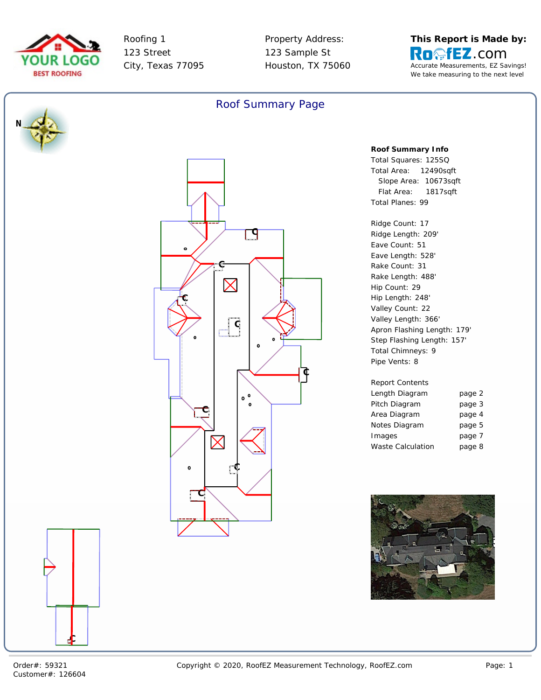



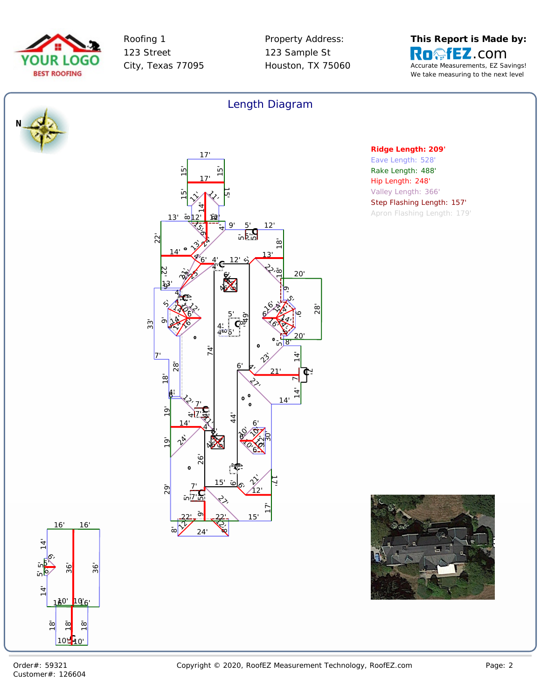



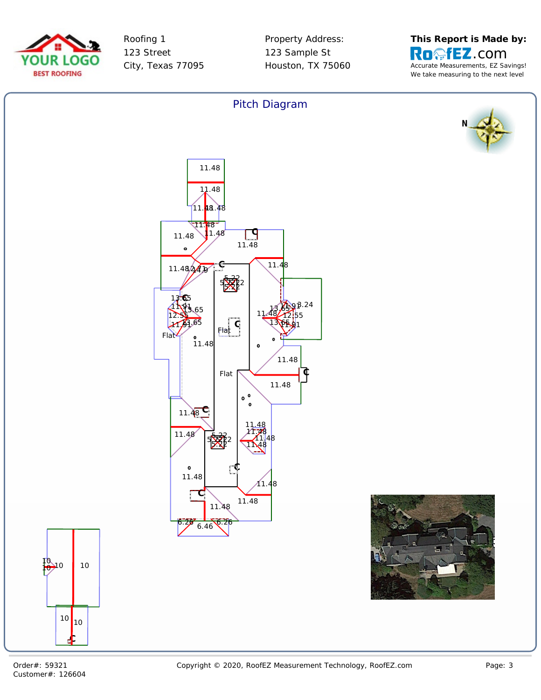



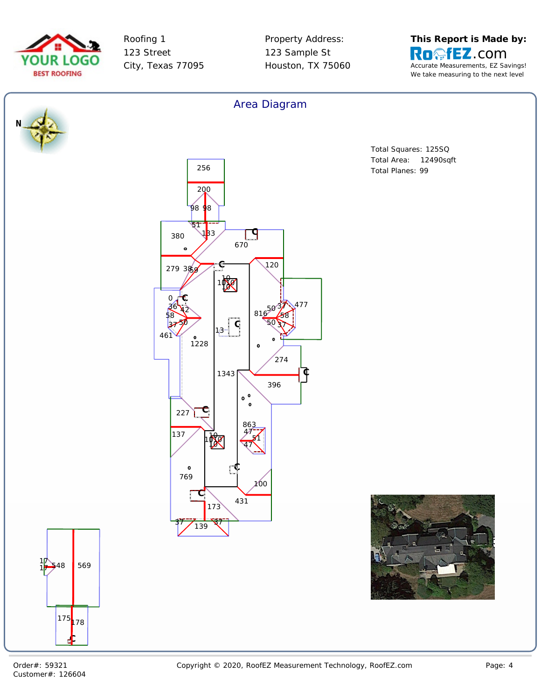



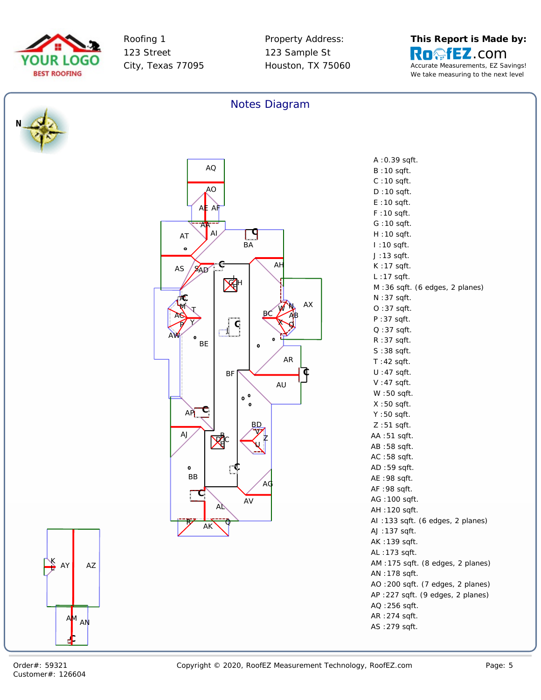



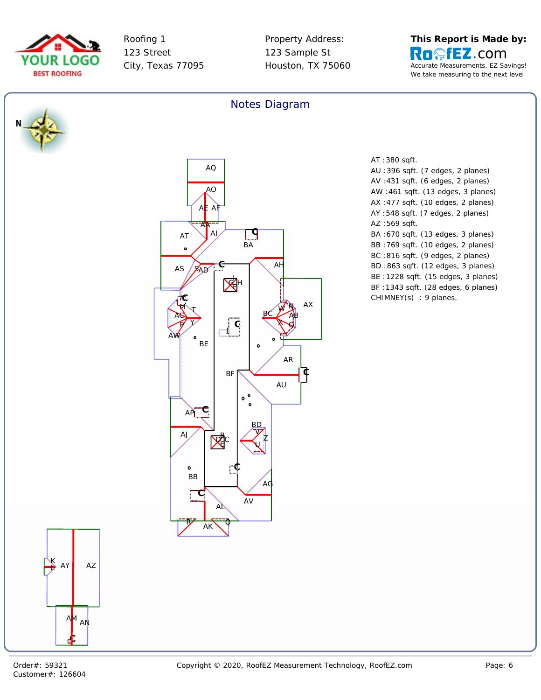



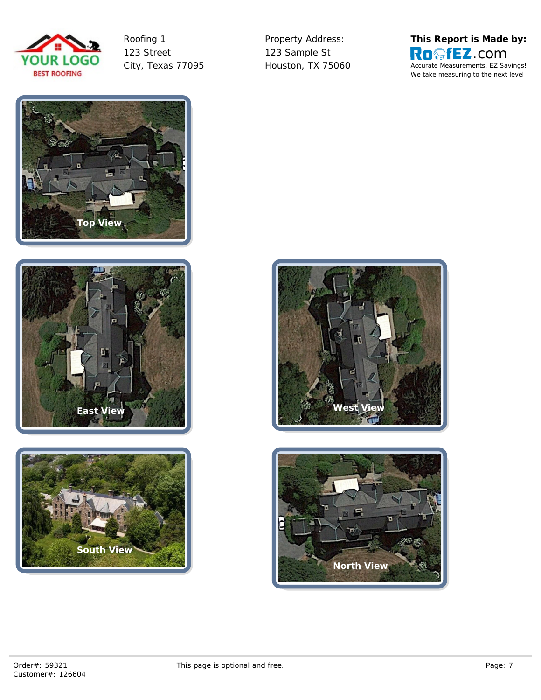